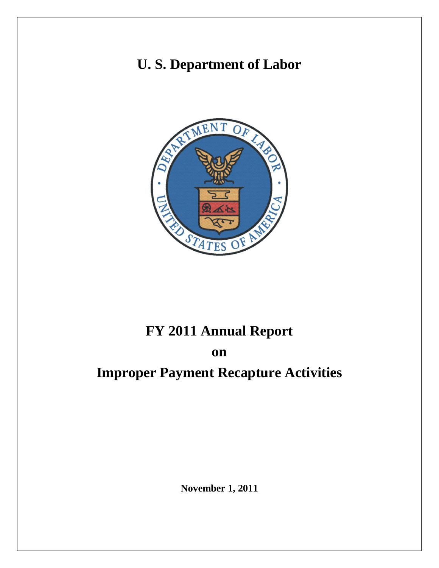# **U. S. Department of Labor**



# **FY 2011 Annual Report**

### **on**

# **Improper Payment Recapture Activities**

**November 1, 2011**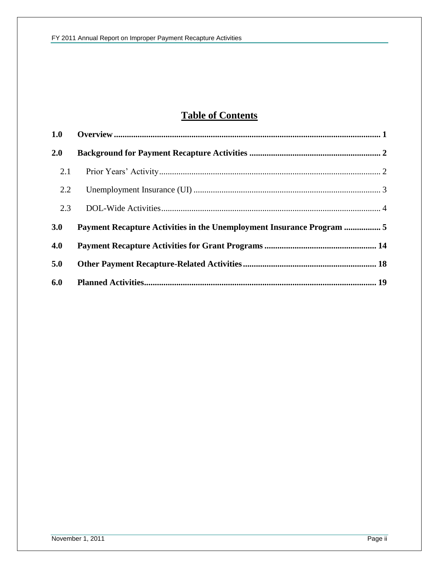### **Table of Contents**

| 1.0 |                                                                       |  |
|-----|-----------------------------------------------------------------------|--|
| 2.0 |                                                                       |  |
| 2.1 |                                                                       |  |
| 2.2 |                                                                       |  |
| 2.3 |                                                                       |  |
| 3.0 | Payment Recapture Activities in the Unemployment Insurance Program  5 |  |
| 4.0 |                                                                       |  |
| 5.0 |                                                                       |  |
| 6.0 |                                                                       |  |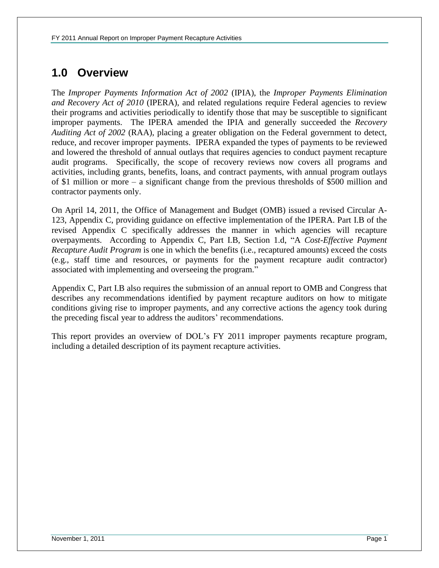## <span id="page-2-0"></span>**1.0 Overview**

The *Improper Payments Information Act of 2002* (IPIA), the *Improper Payments Elimination and Recovery Act of 2010* (IPERA), and related regulations require Federal agencies to review their programs and activities periodically to identify those that may be susceptible to significant improper payments. The IPERA amended the IPIA and generally succeeded the *Recovery Auditing Act of 2002* (RAA), placing a greater obligation on the Federal government to detect, reduce, and recover improper payments. IPERA expanded the types of payments to be reviewed and lowered the threshold of annual outlays that requires agencies to conduct payment recapture audit programs. Specifically, the scope of recovery reviews now covers all programs and activities, including grants, benefits, loans, and contract payments, with annual program outlays of \$1 million or more – a significant change from the previous thresholds of \$500 million and contractor payments only.

On April 14, 2011, the Office of Management and Budget (OMB) issued a revised Circular A-123, Appendix C, providing guidance on effective implementation of the IPERA. Part I.B of the revised Appendix C specifically addresses the manner in which agencies will recapture overpayments. According to Appendix C, Part I.B, Section 1.d, "A *Cost-Effective Payment Recapture Audit Program* is one in which the benefits (i.e., recaptured amounts) exceed the costs (e.g., staff time and resources, or payments for the payment recapture audit contractor) associated with implementing and overseeing the program."

Appendix C, Part I.B also requires the submission of an annual report to OMB and Congress that describes any recommendations identified by payment recapture auditors on how to mitigate conditions giving rise to improper payments, and any corrective actions the agency took during the preceding fiscal year to address the auditors' recommendations.

This report provides an overview of DOL's FY 2011 improper payments recapture program, including a detailed description of its payment recapture activities.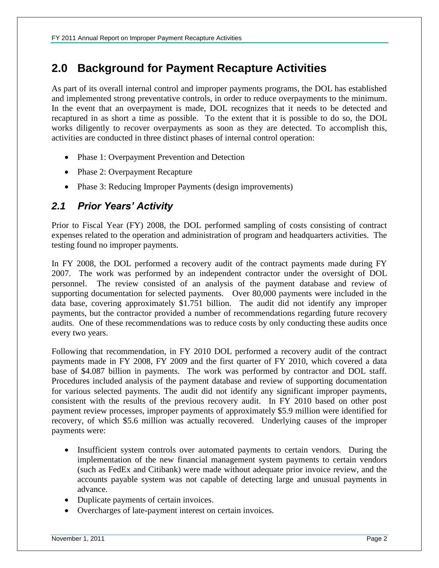# <span id="page-3-0"></span>**2.0 Background for Payment Recapture Activities**

As part of its overall internal control and improper payments programs, the DOL has established and implemented strong preventative controls, in order to reduce overpayments to the minimum. In the event that an overpayment is made, DOL recognizes that it needs to be detected and recaptured in as short a time as possible. To the extent that it is possible to do so, the DOL works diligently to recover overpayments as soon as they are detected. To accomplish this, activities are conducted in three distinct phases of internal control operation:

- Phase 1: Overpayment Prevention and Detection
- Phase 2: Overpayment Recapture
- Phase 3: Reducing Improper Payments (design improvements)

### <span id="page-3-1"></span>*2.1 Prior Years' Activity*

Prior to Fiscal Year (FY) 2008, the DOL performed sampling of costs consisting of contract expenses related to the operation and administration of program and headquarters activities. The testing found no improper payments.

In FY 2008, the DOL performed a recovery audit of the contract payments made during FY 2007. The work was performed by an independent contractor under the oversight of DOL personnel. The review consisted of an analysis of the payment database and review of supporting documentation for selected payments. Over 80,000 payments were included in the data base, covering approximately \$1.751 billion. The audit did not identify any improper payments, but the contractor provided a number of recommendations regarding future recovery audits. One of these recommendations was to reduce costs by only conducting these audits once every two years.

Following that recommendation, in FY 2010 DOL performed a recovery audit of the contract payments made in FY 2008, FY 2009 and the first quarter of FY 2010, which covered a data base of \$4.087 billion in payments. The work was performed by contractor and DOL staff. Procedures included analysis of the payment database and review of supporting documentation for various selected payments. The audit did not identify any significant improper payments, consistent with the results of the previous recovery audit. In FY 2010 based on other post payment review processes, improper payments of approximately \$5.9 million were identified for recovery, of which \$5.6 million was actually recovered. Underlying causes of the improper payments were:

- Insufficient system controls over automated payments to certain vendors. During the implementation of the new financial management system payments to certain vendors (such as FedEx and Citibank) were made without adequate prior invoice review, and the accounts payable system was not capable of detecting large and unusual payments in advance.
- Duplicate payments of certain invoices.
- Overcharges of late-payment interest on certain invoices.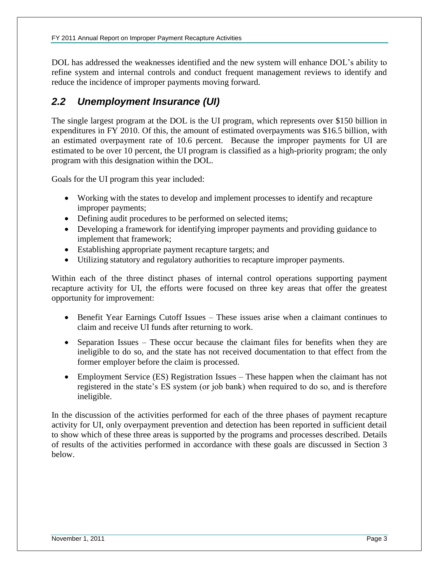DOL has addressed the weaknesses identified and the new system will enhance DOL's ability to refine system and internal controls and conduct frequent management reviews to identify and reduce the incidence of improper payments moving forward.

### <span id="page-4-0"></span>*2.2 Unemployment Insurance (UI)*

The single largest program at the DOL is the UI program, which represents over \$150 billion in expenditures in FY 2010. Of this, the amount of estimated overpayments was \$16.5 billion, with an estimated overpayment rate of 10.6 percent. Because the improper payments for UI are estimated to be over 10 percent, the UI program is classified as a high-priority program; the only program with this designation within the DOL.

Goals for the UI program this year included:

- Working with the states to develop and implement processes to identify and recapture improper payments;
- Defining audit procedures to be performed on selected items;
- Developing a framework for identifying improper payments and providing guidance to implement that framework;
- Establishing appropriate payment recapture targets; and
- Utilizing statutory and regulatory authorities to recapture improper payments.

Within each of the three distinct phases of internal control operations supporting payment recapture activity for UI, the efforts were focused on three key areas that offer the greatest opportunity for improvement:

- Benefit Year Earnings Cutoff Issues These issues arise when a claimant continues to claim and receive UI funds after returning to work.
- Separation Issues These occur because the claimant files for benefits when they are ineligible to do so, and the state has not received documentation to that effect from the former employer before the claim is processed.
- Employment Service (ES) Registration Issues These happen when the claimant has not registered in the state's ES system (or job bank) when required to do so, and is therefore ineligible.

In the discussion of the activities performed for each of the three phases of payment recapture activity for UI, only overpayment prevention and detection has been reported in sufficient detail to show which of these three areas is supported by the programs and processes described. Details of results of the activities performed in accordance with these goals are discussed in Section 3 below.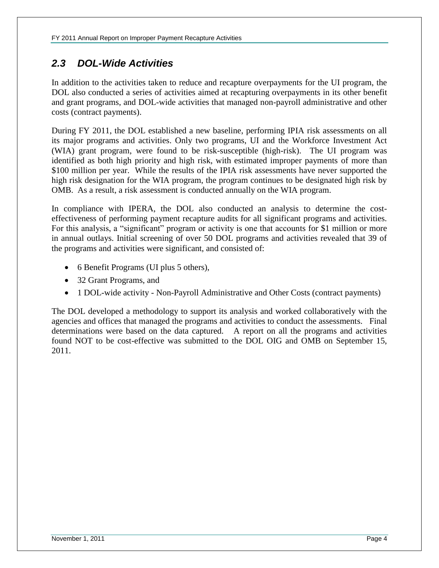### <span id="page-5-0"></span>*2.3 DOL-Wide Activities*

In addition to the activities taken to reduce and recapture overpayments for the UI program, the DOL also conducted a series of activities aimed at recapturing overpayments in its other benefit and grant programs, and DOL-wide activities that managed non-payroll administrative and other costs (contract payments).

During FY 2011, the DOL established a new baseline, performing IPIA risk assessments on all its major programs and activities. Only two programs, UI and the Workforce Investment Act (WIA) grant program, were found to be risk-susceptible (high-risk). The UI program was identified as both high priority and high risk, with estimated improper payments of more than \$100 million per year. While the results of the IPIA risk assessments have never supported the high risk designation for the WIA program, the program continues to be designated high risk by OMB. As a result, a risk assessment is conducted annually on the WIA program.

In compliance with IPERA, the DOL also conducted an analysis to determine the costeffectiveness of performing payment recapture audits for all significant programs and activities. For this analysis, a "significant" program or activity is one that accounts for \$1 million or more in annual outlays. Initial screening of over 50 DOL programs and activities revealed that 39 of the programs and activities were significant, and consisted of:

- 6 Benefit Programs (UI plus 5 others),
- 32 Grant Programs, and
- 1 DOL-wide activity Non-Payroll Administrative and Other Costs (contract payments)

The DOL developed a methodology to support its analysis and worked collaboratively with the agencies and offices that managed the programs and activities to conduct the assessments. Final determinations were based on the data captured. A report on all the programs and activities found NOT to be cost-effective was submitted to the DOL OIG and OMB on September 15, 2011.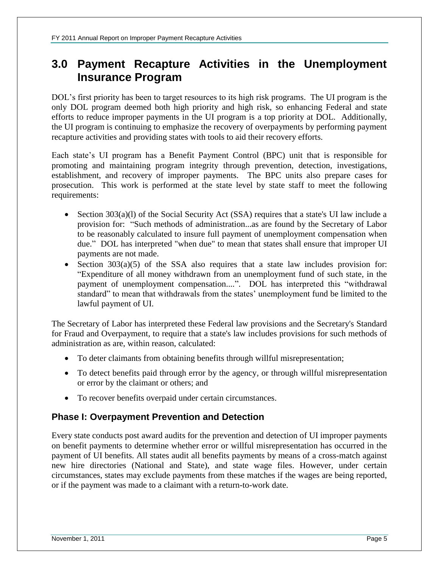### <span id="page-6-0"></span>**3.0 Payment Recapture Activities in the Unemployment Insurance Program**

DOL's first priority has been to target resources to its high risk programs. The UI program is the only DOL program deemed both high priority and high risk, so enhancing Federal and state efforts to reduce improper payments in the UI program is a top priority at DOL. Additionally, the UI program is continuing to emphasize the recovery of overpayments by performing payment recapture activities and providing states with tools to aid their recovery efforts.

Each state's UI program has a Benefit Payment Control (BPC) unit that is responsible for promoting and maintaining program integrity through prevention, detection, investigations, establishment, and recovery of improper payments. The BPC units also prepare cases for prosecution. This work is performed at the state level by state staff to meet the following requirements:

- Section  $303(a)(1)$  of the Social Security Act (SSA) requires that a state's UI law include a provision for: "Such methods of administration...as are found by the Secretary of Labor to be reasonably calculated to insure full payment of unemployment compensation when due." DOL has interpreted "when due" to mean that states shall ensure that improper UI payments are not made.
- Section 303(a)(5) of the SSA also requires that a state law includes provision for: "Expenditure of all money withdrawn from an unemployment fund of such state, in the payment of unemployment compensation....". DOL has interpreted this "withdrawal standard" to mean that withdrawals from the states' unemployment fund be limited to the lawful payment of UI.

The Secretary of Labor has interpreted these Federal law provisions and the Secretary's Standard for Fraud and Overpayment, to require that a state's law includes provisions for such methods of administration as are, within reason, calculated:

- To deter claimants from obtaining benefits through willful misrepresentation;
- To detect benefits paid through error by the agency, or through willful misrepresentation or error by the claimant or others; and
- To recover benefits overpaid under certain circumstances.

#### **Phase I: Overpayment Prevention and Detection**

Every state conducts post award audits for the prevention and detection of UI improper payments on benefit payments to determine whether error or willful misrepresentation has occurred in the payment of UI benefits. All states audit all benefits payments by means of a cross-match against new hire directories (National and State), and state wage files. However, under certain circumstances, states may exclude payments from these matches if the wages are being reported, or if the payment was made to a claimant with a return-to-work date.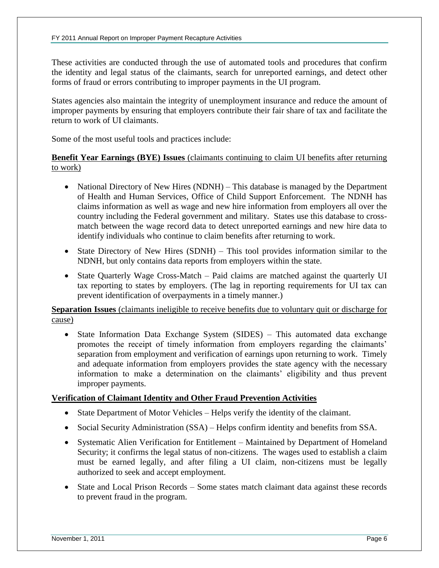These activities are conducted through the use of automated tools and procedures that confirm the identity and legal status of the claimants, search for unreported earnings, and detect other forms of fraud or errors contributing to improper payments in the UI program.

States agencies also maintain the integrity of unemployment insurance and reduce the amount of improper payments by ensuring that employers contribute their fair share of tax and facilitate the return to work of UI claimants.

Some of the most useful tools and practices include:

#### **Benefit Year Earnings (BYE) Issues** (claimants continuing to claim UI benefits after returning to work)

- National Directory of New Hires (NDNH) This database is managed by the Department of Health and Human Services, Office of Child Support Enforcement. The NDNH has claims information as well as wage and new hire information from employers all over the country including the Federal government and military. States use this database to crossmatch between the wage record data to detect unreported earnings and new hire data to identify individuals who continue to claim benefits after returning to work.
- State Directory of New Hires (SDNH) This tool provides information similar to the NDNH, but only contains data reports from employers within the state.
- State Quarterly Wage Cross-Match Paid claims are matched against the quarterly UI tax reporting to states by employers. (The lag in reporting requirements for UI tax can prevent identification of overpayments in a timely manner.)

**Separation Issues** (claimants ineligible to receive benefits due to voluntary quit or discharge for cause)

• State Information Data Exchange System (SIDES) – This automated data exchange promotes the receipt of timely information from employers regarding the claimants' separation from employment and verification of earnings upon returning to work. Timely and adequate information from employers provides the state agency with the necessary information to make a determination on the claimants' eligibility and thus prevent improper payments.

#### **Verification of Claimant Identity and Other Fraud Prevention Activities**

- State Department of Motor Vehicles Helps verify the identity of the claimant.
- Social Security Administration (SSA) Helps confirm identity and benefits from SSA.
- Systematic Alien Verification for Entitlement Maintained by Department of Homeland Security; it confirms the legal status of non-citizens. The wages used to establish a claim must be earned legally, and after filing a UI claim, non-citizens must be legally authorized to seek and accept employment.
- State and Local Prison Records Some states match claimant data against these records to prevent fraud in the program.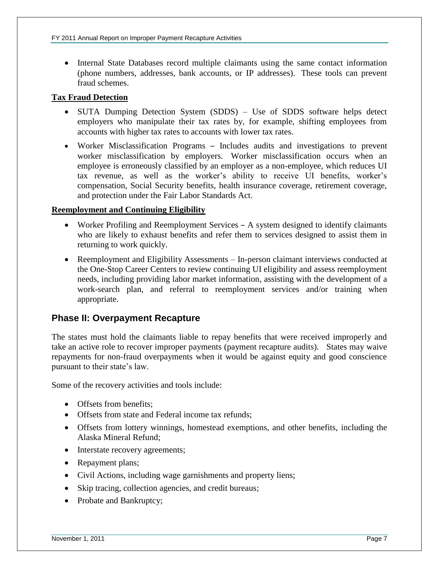• Internal State Databases record multiple claimants using the same contact information (phone numbers, addresses, bank accounts, or IP addresses). These tools can prevent fraud schemes.

#### **Tax Fraud Detection**

- SUTA Dumping Detection System (SDDS) Use of SDDS software helps detect employers who manipulate their tax rates by, for example, shifting employees from accounts with higher tax rates to accounts with lower tax rates.
- Worker Misclassification Programs Includes audits and investigations to prevent worker misclassification by employers. Worker misclassification occurs when an employee is erroneously classified by an employer as a non-employee, which reduces UI tax revenue, as well as the worker's ability to receive UI benefits, worker's compensation, Social Security benefits, health insurance coverage, retirement coverage, and protection under the Fair Labor Standards Act.

#### **Reemployment and Continuing Eligibility**

- Worker Profiling and Reemployment Services A system designed to identify claimants who are likely to exhaust benefits and refer them to services designed to assist them in returning to work quickly.
- Reemployment and Eligibility Assessments In-person claimant interviews conducted at the One-Stop Career Centers to review continuing UI eligibility and assess reemployment needs, including providing labor market information, assisting with the development of a work-search plan, and referral to reemployment services and/or training when appropriate.

#### **Phase II: Overpayment Recapture**

The states must hold the claimants liable to repay benefits that were received improperly and take an active role to recover improper payments (payment recapture audits). States may waive repayments for non-fraud overpayments when it would be against equity and good conscience pursuant to their state's law.

Some of the recovery activities and tools include:

- Offsets from benefits;
- Offsets from state and Federal income tax refunds:
- Offsets from lottery winnings, homestead exemptions, and other benefits, including the Alaska Mineral Refund;
- Interstate recovery agreements;
- Repayment plans;
- Civil Actions, including wage garnishments and property liens;
- Skip tracing, collection agencies, and credit bureaus;
- Probate and Bankruptcy;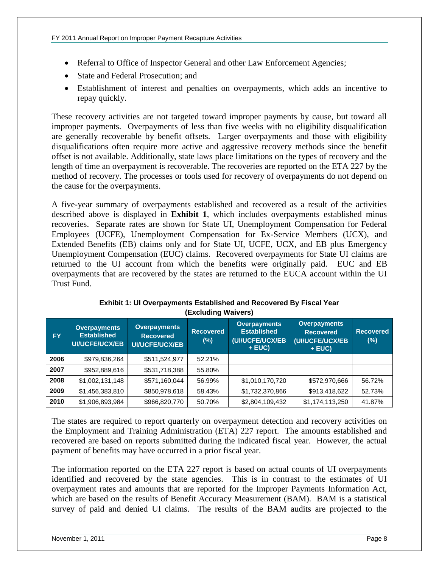- Referral to Office of Inspector General and other Law Enforcement Agencies;
- State and Federal Prosecution: and
- Establishment of interest and penalties on overpayments, which adds an incentive to repay quickly.

These recovery activities are not targeted toward improper payments by cause, but toward all improper payments. Overpayments of less than five weeks with no eligibility disqualification are generally recoverable by benefit offsets. Larger overpayments and those with eligibility disqualifications often require more active and aggressive recovery methods since the benefit offset is not available. Additionally, state laws place limitations on the types of recovery and the length of time an overpayment is recoverable. The recoveries are reported on the ETA 227 by the method of recovery. The processes or tools used for recovery of overpayments do not depend on the cause for the overpayments.

A five-year summary of overpayments established and recovered as a result of the activities described above is displayed in **Exhibit 1**, which includes overpayments established minus recoveries. Separate rates are shown for State UI, Unemployment Compensation for Federal Employees (UCFE), Unemployment Compensation for Ex-Service Members (UCX), and Extended Benefits (EB) claims only and for State UI, UCFE, UCX, and EB plus Emergency Unemployment Compensation (EUC) claims. Recovered overpayments for State UI claims are returned to the UI account from which the benefits were originally paid. EUC and EB overpayments that are recovered by the states are returned to the EUCA account within the UI Trust Fund.

| <b>FY</b> | <b>Overpayments</b><br><b>Established</b><br><b>UI/UCFE/UCX/EB</b> | <b>Overpayments</b><br><b>Recovered</b><br><b>UI/UCFE/UCX/EB</b> | <b>Recovered</b><br>$(\%)$ | <b>Overpayments</b><br><b>Established</b><br>(UI/UCFE/UCX/EB<br>$+ EUC$ | <b>Overpayments</b><br><b>Recovered</b><br>(UI/UCFE/UCX/EB<br>$+ EUC$ | <b>Recovered</b><br>$(\%)$ |
|-----------|--------------------------------------------------------------------|------------------------------------------------------------------|----------------------------|-------------------------------------------------------------------------|-----------------------------------------------------------------------|----------------------------|
| 2006      | \$979,836,264                                                      | \$511,524,977                                                    | 52.21%                     |                                                                         |                                                                       |                            |
| 2007      | \$952,889,616                                                      | \$531,718,388                                                    | 55.80%                     |                                                                         |                                                                       |                            |
| 2008      | \$1,002,131,148                                                    | \$571,160,044                                                    | 56.99%                     | \$1,010,170,720                                                         | \$572,970,666                                                         | 56.72%                     |
| 2009      | \$1,456,383,810                                                    | \$850,978,618                                                    | 58.43%                     | \$1,732,370,866                                                         | \$913,418,622                                                         | 52.73%                     |
| 2010      | \$1,906,893,984                                                    | \$966,820,770                                                    | 50.70%                     | \$2,804,109,432                                                         | \$1,174,113,250                                                       | 41.87%                     |

#### **Exhibit 1: UI Overpayments Established and Recovered By Fiscal Year (Excluding Waivers)**

The states are required to report quarterly on overpayment detection and recovery activities on the Employment and Training Administration (ETA) 227 report. The amounts established and recovered are based on reports submitted during the indicated fiscal year. However, the actual payment of benefits may have occurred in a prior fiscal year.

The information reported on the ETA 227 report is based on actual counts of UI overpayments identified and recovered by the state agencies. This is in contrast to the estimates of UI overpayment rates and amounts that are reported for the Improper Payments Information Act, which are based on the results of Benefit Accuracy Measurement (BAM). BAM is a statistical survey of paid and denied UI claims. The results of the BAM audits are projected to the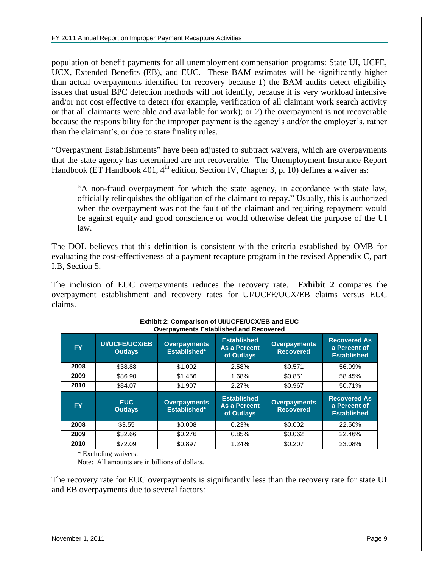population of benefit payments for all unemployment compensation programs: State UI, UCFE, UCX, Extended Benefits (EB), and EUC. These BAM estimates will be significantly higher than actual overpayments identified for recovery because 1) the BAM audits detect eligibility issues that usual BPC detection methods will not identify, because it is very workload intensive and/or not cost effective to detect (for example, verification of all claimant work search activity or that all claimants were able and available for work); or 2) the overpayment is not recoverable because the responsibility for the improper payment is the agency's and/or the employer's, rather than the claimant's, or due to state finality rules.

"Overpayment Establishments" have been adjusted to subtract waivers, which are overpayments that the state agency has determined are not recoverable. The Unemployment Insurance Report Handbook (ET Handbook 401,  $4<sup>th</sup>$  edition, Section IV, Chapter 3, p. 10) defines a waiver as:

"A non-fraud overpayment for which the state agency, in accordance with state law, officially relinquishes the obligation of the claimant to repay." Usually, this is authorized when the overpayment was not the fault of the claimant and requiring repayment would be against equity and good conscience or would otherwise defeat the purpose of the UI law.

The DOL believes that this definition is consistent with the criteria established by OMB for evaluating the cost-effectiveness of a payment recapture program in the revised Appendix C, part I.B, Section 5.

The inclusion of EUC overpayments reduces the recovery rate. **Exhibit 2** compares the overpayment establishment and recovery rates for UI/UCFE/UCX/EB claims versus EUC claims.

| <b>FY</b> | <b>UI/UCFE/UCX/EB</b><br><b>Outlays</b> | <b>Overpayments</b><br>Established* | <b>Established</b><br><b>As a Percent</b><br>of Outlays | <b>Overpayments</b><br><b>Recovered</b> | <b>Recovered As</b><br>a Percent of<br><b>Established</b> |  |  |
|-----------|-----------------------------------------|-------------------------------------|---------------------------------------------------------|-----------------------------------------|-----------------------------------------------------------|--|--|
| 2008      | \$38.88                                 | \$1.002                             | 2.58%                                                   | \$0.571                                 | 56.99%                                                    |  |  |
| 2009      | \$86.90                                 | \$1.456                             | 1.68%                                                   | \$0.851                                 | 58.45%                                                    |  |  |
| 2010      | \$84.07                                 | \$1.907                             | 2.27%                                                   | \$0.967                                 | 50.71%                                                    |  |  |
|           |                                         |                                     |                                                         |                                         |                                                           |  |  |
| <b>FY</b> | EUC.<br><b>Outlays</b>                  | <b>Overpayments</b><br>Established* | <b>Established</b><br>As a Percent<br>of Outlays        | <b>Overpayments</b><br><b>Recovered</b> | <b>Recovered As</b><br>a Percent of<br><b>Established</b> |  |  |
| 2008      | \$3.55                                  | \$0.008                             | 0.23%                                                   | \$0.002                                 | 22.50%                                                    |  |  |
| 2009      | \$32.66                                 | \$0.276                             | 0.85%                                                   | \$0.062                                 | 22.46%                                                    |  |  |

#### **Exhibit 2: Comparison of UI/UCFE/UCX/EB and EUC Overpayments Established and Recovered**

\* Excluding waivers.

Note: All amounts are in billions of dollars.

The recovery rate for EUC overpayments is significantly less than the recovery rate for state UI and EB overpayments due to several factors: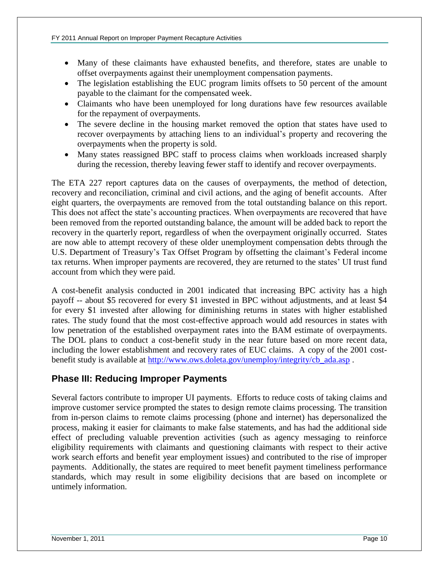- Many of these claimants have exhausted benefits, and therefore, states are unable to offset overpayments against their unemployment compensation payments.
- The legislation establishing the EUC program limits offsets to 50 percent of the amount payable to the claimant for the compensated week.
- Claimants who have been unemployed for long durations have few resources available for the repayment of overpayments.
- The severe decline in the housing market removed the option that states have used to recover overpayments by attaching liens to an individual's property and recovering the overpayments when the property is sold.
- Many states reassigned BPC staff to process claims when workloads increased sharply during the recession, thereby leaving fewer staff to identify and recover overpayments.

The ETA 227 report captures data on the causes of overpayments, the method of detection, recovery and reconciliation, criminal and civil actions, and the aging of benefit accounts. After eight quarters, the overpayments are removed from the total outstanding balance on this report. This does not affect the state's accounting practices. When overpayments are recovered that have been removed from the reported outstanding balance, the amount will be added back to report the recovery in the quarterly report, regardless of when the overpayment originally occurred. States are now able to attempt recovery of these older unemployment compensation debts through the U.S. Department of Treasury's Tax Offset Program by offsetting the claimant's Federal income tax returns. When improper payments are recovered, they are returned to the states' UI trust fund account from which they were paid.

A cost-benefit analysis conducted in 2001 indicated that increasing BPC activity has a high payoff -- about \$5 recovered for every \$1 invested in BPC without adjustments, and at least \$4 for every \$1 invested after allowing for diminishing returns in states with higher established rates. The study found that the most cost-effective approach would add resources in states with low penetration of the established overpayment rates into the BAM estimate of overpayments. The DOL plans to conduct a cost-benefit study in the near future based on more recent data, including the lower establishment and recovery rates of EUC claims. A copy of the 2001 costbenefit study is available at [http://www.ows.doleta.gov/unemploy/integrity/cb\\_ada.asp](http://www.ows.doleta.gov/unemploy/integrity/cb_ada.asp).

#### **Phase III: Reducing Improper Payments**

Several factors contribute to improper UI payments. Efforts to reduce costs of taking claims and improve customer service prompted the states to design remote claims processing. The transition from in-person claims to remote claims processing (phone and internet) has depersonalized the process, making it easier for claimants to make false statements, and has had the additional side effect of precluding valuable prevention activities (such as agency messaging to reinforce eligibility requirements with claimants and questioning claimants with respect to their active work search efforts and benefit year employment issues) and contributed to the rise of improper payments. Additionally, the states are required to meet benefit payment timeliness performance standards, which may result in some eligibility decisions that are based on incomplete or untimely information.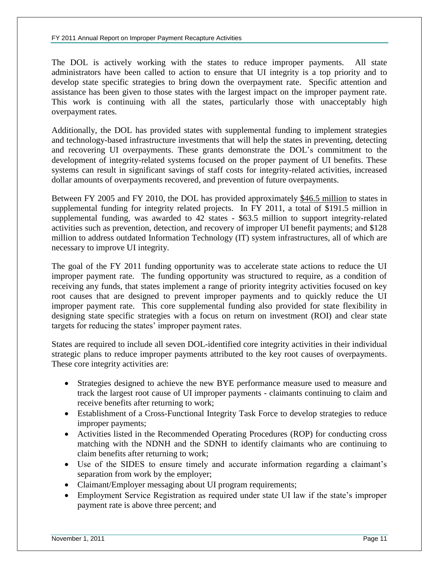#### FY 2011 Annual Report on Improper Payment Recapture Activities

The DOL is actively working with the states to reduce improper payments. All state administrators have been called to action to ensure that UI integrity is a top priority and to develop state specific strategies to bring down the overpayment rate. Specific attention and assistance has been given to those states with the largest impact on the improper payment rate. This work is continuing with all the states, particularly those with unacceptably high overpayment rates.

Additionally, the DOL has provided states with supplemental funding to implement strategies and technology-based infrastructure investments that will help the states in preventing, detecting and recovering UI overpayments. These grants demonstrate the DOL's commitment to the development of integrity-related systems focused on the proper payment of UI benefits. These systems can result in significant savings of staff costs for integrity-related activities, increased dollar amounts of overpayments recovered, and prevention of future overpayments.

Between FY 2005 and FY 2010, the DOL has provided approximately \$46.5 million to states in supplemental funding for integrity related projects. In FY 2011, a total of \$191.5 million in supplemental funding, was awarded to 42 states - \$63.5 million to support integrity-related activities such as prevention, detection, and recovery of improper UI benefit payments; and \$128 million to address outdated Information Technology (IT) system infrastructures, all of which are necessary to improve UI integrity.

The goal of the FY 2011 funding opportunity was to accelerate state actions to reduce the UI improper payment rate. The funding opportunity was structured to require, as a condition of receiving any funds, that states implement a range of priority integrity activities focused on key root causes that are designed to prevent improper payments and to quickly reduce the UI improper payment rate. This core supplemental funding also provided for state flexibility in designing state specific strategies with a focus on return on investment (ROI) and clear state targets for reducing the states' improper payment rates.

States are required to include all seven DOL-identified core integrity activities in their individual strategic plans to reduce improper payments attributed to the key root causes of overpayments. These core integrity activities are:

- Strategies designed to achieve the new BYE performance measure used to measure and track the largest root cause of UI improper payments - claimants continuing to claim and receive benefits after returning to work;
- Establishment of a Cross-Functional Integrity Task Force to develop strategies to reduce improper payments;
- Activities listed in the Recommended Operating Procedures (ROP) for conducting cross matching with the NDNH and the SDNH to identify claimants who are continuing to claim benefits after returning to work;
- Use of the SIDES to ensure timely and accurate information regarding a claimant's separation from work by the employer;
- Claimant/Employer messaging about UI program requirements;
- Employment Service Registration as required under state UI law if the state's improper payment rate is above three percent; and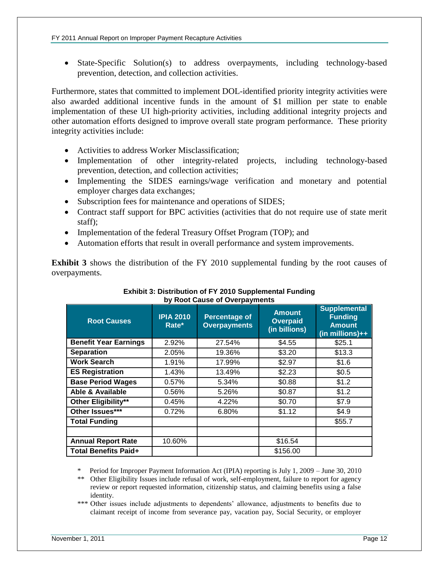• State-Specific Solution(s) to address overpayments, including technology-based prevention, detection, and collection activities.

Furthermore, states that committed to implement DOL-identified priority integrity activities were also awarded additional incentive funds in the amount of \$1 million per state to enable implementation of these UI high-priority activities, including additional integrity projects and other automation efforts designed to improve overall state program performance. These priority integrity activities include:

- Activities to address Worker Misclassification;
- Implementation of other integrity-related projects, including technology-based prevention, detection, and collection activities;
- Implementing the SIDES earnings/wage verification and monetary and potential employer charges data exchanges;
- Subscription fees for maintenance and operations of SIDES;
- Contract staff support for BPC activities (activities that do not require use of state merit staff);
- Implementation of the federal Treasury Offset Program (TOP); and
- Automation efforts that result in overall performance and system improvements.

**Exhibit 3** shows the distribution of the FY 2010 supplemental funding by the root causes of overpayments.

| Dy ROOL GAUSE OF OVERDAYMENTS |                           |                                             |                                                   |                                                                             |  |  |  |
|-------------------------------|---------------------------|---------------------------------------------|---------------------------------------------------|-----------------------------------------------------------------------------|--|--|--|
| <b>Root Causes</b>            | <b>IPIA 2010</b><br>Rate* | <b>Percentage of</b><br><b>Overpayments</b> | <b>Amount</b><br><b>Overpaid</b><br>(in billions) | <b>Supplemental</b><br><b>Funding</b><br><b>Amount</b><br>$(in$ millions)++ |  |  |  |
| <b>Benefit Year Earnings</b>  | 2.92%                     | 27.54%                                      | \$4.55                                            | \$25.1                                                                      |  |  |  |
| <b>Separation</b>             | 2.05%                     | 19.36%                                      | \$3.20                                            | \$13.3                                                                      |  |  |  |
| <b>Work Search</b>            | 1.91%                     | 17.99%                                      | \$2.97                                            | \$1.6                                                                       |  |  |  |
| <b>ES Registration</b>        | 1.43%                     | 13.49%                                      | \$2.23                                            | \$0.5                                                                       |  |  |  |
| <b>Base Period Wages</b>      | 0.57%                     | 5.34%                                       | \$0.88                                            | \$1.2                                                                       |  |  |  |
| Able & Available              | 0.56%                     | 5.26%                                       | \$0.87                                            | \$1.2                                                                       |  |  |  |
| Other Eligibility**           | 0.45%                     | 4.22%                                       | \$0.70                                            | \$7.9                                                                       |  |  |  |
| Other Issues***               | 0.72%                     | 6.80%                                       | \$1.12                                            | \$4.9                                                                       |  |  |  |
| <b>Total Funding</b>          |                           |                                             |                                                   | \$55.7                                                                      |  |  |  |
|                               |                           |                                             |                                                   |                                                                             |  |  |  |
| <b>Annual Report Rate</b>     | 10.60%                    |                                             | \$16.54                                           |                                                                             |  |  |  |
| <b>Total Benefits Paid+</b>   |                           |                                             | \$156.00                                          |                                                                             |  |  |  |

#### **Exhibit 3: Distribution of FY 2010 Supplemental Funding by Root Cause of Overpayments**

\* Period for Improper Payment Information Act (IPIA) reporting is July 1, 2009 – June 30, 2010

\*\* Other Eligibility Issues include refusal of work, self-employment, failure to report for agency review or report requested information, citizenship status, and claiming benefits using a false identity.

\*\*\* Other issues include adjustments to dependents' allowance, adjustments to benefits due to claimant receipt of income from severance pay, vacation pay, Social Security, or employer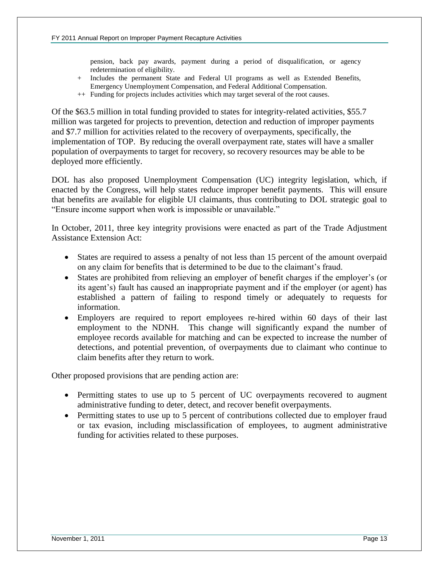pension, back pay awards, payment during a period of disqualification, or agency redetermination of eligibility.

- + Includes the permanent State and Federal UI programs as well as Extended Benefits, Emergency Unemployment Compensation, and Federal Additional Compensation.
- ++ Funding for projects includes activities which may target several of the root causes.

Of the \$63.5 million in total funding provided to states for integrity-related activities, \$55.7 million was targeted for projects to prevention, detection and reduction of improper payments and \$7.7 million for activities related to the recovery of overpayments, specifically, the implementation of TOP. By reducing the overall overpayment rate, states will have a smaller population of overpayments to target for recovery, so recovery resources may be able to be deployed more efficiently.

DOL has also proposed Unemployment Compensation (UC) integrity legislation, which, if enacted by the Congress, will help states reduce improper benefit payments. This will ensure that benefits are available for eligible UI claimants, thus contributing to DOL strategic goal to "Ensure income support when work is impossible or unavailable."

In October, 2011, three key integrity provisions were enacted as part of the Trade Adjustment Assistance Extension Act:

- States are required to assess a penalty of not less than 15 percent of the amount overpaid on any claim for benefits that is determined to be due to the claimant's fraud.
- States are prohibited from relieving an employer of benefit charges if the employer's (or its agent's) fault has caused an inappropriate payment and if the employer (or agent) has established a pattern of failing to respond timely or adequately to requests for information.
- Employers are required to report employees re-hired within 60 days of their last employment to the NDNH. This change will significantly expand the number of employee records available for matching and can be expected to increase the number of detections, and potential prevention, of overpayments due to claimant who continue to claim benefits after they return to work.

Other proposed provisions that are pending action are:

- Permitting states to use up to 5 percent of UC overpayments recovered to augment administrative funding to deter, detect, and recover benefit overpayments.
- Permitting states to use up to 5 percent of contributions collected due to employer fraud or tax evasion, including misclassification of employees, to augment administrative funding for activities related to these purposes.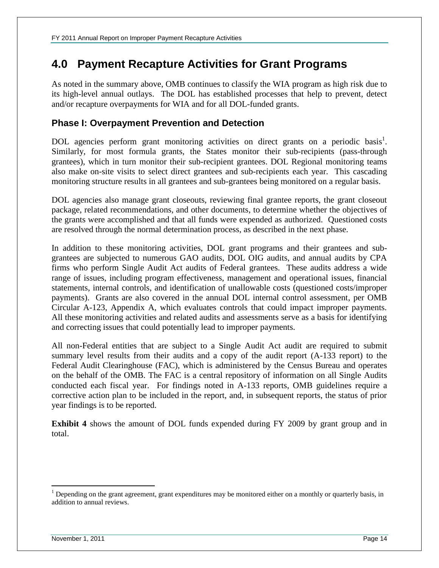## <span id="page-15-0"></span>**4.0 Payment Recapture Activities for Grant Programs**

As noted in the summary above, OMB continues to classify the WIA program as high risk due to its high-level annual outlays. The DOL has established processes that help to prevent, detect and/or recapture overpayments for WIA and for all DOL-funded grants.

#### **Phase I: Overpayment Prevention and Detection**

DOL agencies perform grant monitoring activities on direct grants on a periodic basis<sup>1</sup>. Similarly, for most formula grants, the States monitor their sub-recipients (pass-through grantees), which in turn monitor their sub-recipient grantees. DOL Regional monitoring teams also make on-site visits to select direct grantees and sub-recipients each year. This cascading monitoring structure results in all grantees and sub-grantees being monitored on a regular basis.

DOL agencies also manage grant closeouts, reviewing final grantee reports, the grant closeout package, related recommendations, and other documents, to determine whether the objectives of the grants were accomplished and that all funds were expended as authorized. Questioned costs are resolved through the normal determination process, as described in the next phase.

In addition to these monitoring activities, DOL grant programs and their grantees and subgrantees are subjected to numerous GAO audits, DOL OIG audits, and annual audits by CPA firms who perform Single Audit Act audits of Federal grantees. These audits address a wide range of issues, including program effectiveness, management and operational issues, financial statements, internal controls, and identification of unallowable costs (questioned costs/improper payments). Grants are also covered in the annual DOL internal control assessment, per OMB Circular A-123, Appendix A, which evaluates controls that could impact improper payments. All these monitoring activities and related audits and assessments serve as a basis for identifying and correcting issues that could potentially lead to improper payments.

All non-Federal entities that are subject to a Single Audit Act audit are required to submit summary level results from their audits and a copy of the audit report (A-133 report) to the Federal Audit Clearinghouse (FAC), which is administered by the Census Bureau and operates on the behalf of the OMB. The FAC is a central repository of information on all Single Audits conducted each fiscal year. For findings noted in A-133 reports, OMB guidelines require a corrective action plan to be included in the report, and, in subsequent reports, the status of prior year findings is to be reported.

**Exhibit 4** shows the amount of DOL funds expended during FY 2009 by grant group and in total.

 $\overline{a}$ 

<sup>&</sup>lt;sup>1</sup> Depending on the grant agreement, grant expenditures may be monitored either on a monthly or quarterly basis, in addition to annual reviews.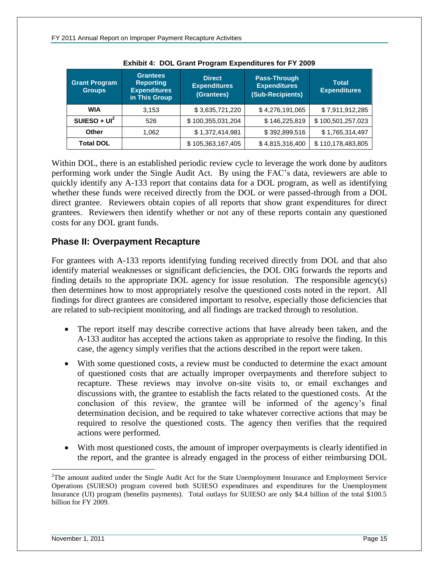| <b>Grant Program</b><br><b>Groups</b> | <b>Grantees</b><br><b>Reporting</b><br><b>Expenditures</b><br>in This Group | <b>Direct</b><br><b>Expenditures</b><br>(Grantees) | Pass-Through<br><b>Expenditures</b><br>(Sub-Recipients) |                   |  |  |  |
|---------------------------------------|-----------------------------------------------------------------------------|----------------------------------------------------|---------------------------------------------------------|-------------------|--|--|--|
| <b>WIA</b>                            | 3,153                                                                       | \$3,635,721,220                                    | \$4,276,191,065                                         | \$7,911,912,285   |  |  |  |
| SUIESO + $UI2$                        | 526                                                                         | \$100,355,031,204                                  | \$146,225,819                                           | \$100,501,257,023 |  |  |  |
| Other                                 | 1,062                                                                       | \$1,372,414,981                                    | \$392,899,516                                           | \$1,765,314,497   |  |  |  |
| <b>Total DOL</b>                      |                                                                             | \$105,363,167,405                                  | \$4,815,316,400                                         | \$110,178,483,805 |  |  |  |

Within DOL, there is an established periodic review cycle to leverage the work done by auditors performing work under the Single Audit Act. By using the FAC's data, reviewers are able to quickly identify any A-133 report that contains data for a DOL program, as well as identifying whether these funds were received directly from the DOL or were passed-through from a DOL direct grantee. Reviewers obtain copies of all reports that show grant expenditures for direct grantees. Reviewers then identify whether or not any of these reports contain any questioned costs for any DOL grant funds.

#### **Phase II: Overpayment Recapture**

For grantees with A-133 reports identifying funding received directly from DOL and that also identify material weaknesses or significant deficiencies, the DOL OIG forwards the reports and finding details to the appropriate DOL agency for issue resolution. The responsible agency(s) then determines how to most appropriately resolve the questioned costs noted in the report. All findings for direct grantees are considered important to resolve, especially those deficiencies that are related to sub-recipient monitoring, and all findings are tracked through to resolution.

- The report itself may describe corrective actions that have already been taken, and the A-133 auditor has accepted the actions taken as appropriate to resolve the finding. In this case, the agency simply verifies that the actions described in the report were taken.
- With some questioned costs, a review must be conducted to determine the exact amount of questioned costs that are actually improper overpayments and therefore subject to recapture. These reviews may involve on-site visits to, or email exchanges and discussions with, the grantee to establish the facts related to the questioned costs. At the conclusion of this review, the grantee will be informed of the agency's final determination decision, and be required to take whatever corrective actions that may be required to resolve the questioned costs. The agency then verifies that the required actions were performed.
- With most questioned costs, the amount of improper overpayments is clearly identified in the report, and the grantee is already engaged in the process of either reimbursing DOL

 $\overline{a}$ 

 $2$ The amount audited under the Single Audit Act for the State Unemployment Insurance and Employment Service Operations (SUIESO) program covered both SUIESO expenditures and expenditures for the Unemployment Insurance (UI) program (benefits payments). Total outlays for SUIESO are only \$4.4 billion of the total \$100.5 billion for FY 2009.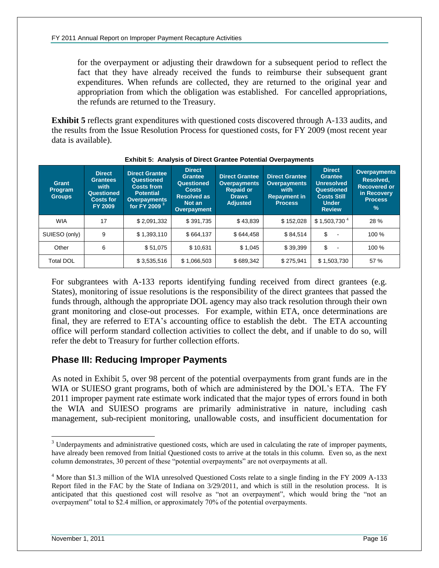for the overpayment or adjusting their drawdown for a subsequent period to reflect the fact that they have already received the funds to reimburse their subsequent grant expenditures. When refunds are collected, they are returned to the original year and appropriation from which the obligation was established. For cancelled appropriations, the refunds are returned to the Treasury.

**Exhibit 5** reflects grant expenditures with questioned costs discovered through A-133 audits, and the results from the Issue Resolution Process for questioned costs, for FY 2009 (most recent year data is available).

| Grant<br>Program<br><b>Groups</b> | <b>Direct</b><br><b>Grantees</b><br>with<br>Questioned<br><b>Costs for</b><br><b>FY 2009</b> | <b>Direct Grantee</b><br>Questioned<br><b>Costs from</b><br><b>Potential</b><br><b>Overpayments</b><br>for FY 2009 <sup>3</sup> | <b>Direct</b><br>Grantee<br>Questioned<br><b>Costs</b><br><b>Resolved as</b><br>Not an<br>Overpayment | <b>Direct Grantee</b><br><b>Overpayments</b><br><b>Repaid or</b><br><b>Draws</b><br><b>Adjusted</b> | <b>Direct Grantee</b><br><b>Overpayments</b><br>with<br><b>Repayment in</b><br><b>Process</b> | <b>Direct</b><br>Grantee<br><b>Unresolved</b><br>Questioned<br><b>Costs Still</b><br><b>Under</b><br><b>Review</b> | <b>Overpayments</b><br>Resolved,<br><b>Recovered or</b><br>in Recovery<br><b>Process</b><br>$\frac{9}{6}$ |
|-----------------------------------|----------------------------------------------------------------------------------------------|---------------------------------------------------------------------------------------------------------------------------------|-------------------------------------------------------------------------------------------------------|-----------------------------------------------------------------------------------------------------|-----------------------------------------------------------------------------------------------|--------------------------------------------------------------------------------------------------------------------|-----------------------------------------------------------------------------------------------------------|
|                                   |                                                                                              |                                                                                                                                 |                                                                                                       |                                                                                                     |                                                                                               |                                                                                                                    |                                                                                                           |
| <b>WIA</b>                        | 17                                                                                           | \$2,091,332                                                                                                                     | \$391.735                                                                                             | \$43.839                                                                                            | \$152.028                                                                                     | \$1,503,730 <sup>4</sup>                                                                                           | 28 %                                                                                                      |
| SUIESO (only)                     | 9                                                                                            | \$1,393,110                                                                                                                     | \$664.137                                                                                             | \$644.458                                                                                           | \$84.514                                                                                      | \$                                                                                                                 | 100 %                                                                                                     |
|                                   |                                                                                              |                                                                                                                                 |                                                                                                       |                                                                                                     |                                                                                               |                                                                                                                    |                                                                                                           |
| Other                             | 6                                                                                            | \$51,075                                                                                                                        | \$10.631                                                                                              | \$1.045                                                                                             | \$39.399                                                                                      | \$                                                                                                                 | 100 %                                                                                                     |
| <b>Total DOL</b>                  |                                                                                              | \$3,535,516                                                                                                                     | \$1,066,503                                                                                           | \$689,342                                                                                           | \$275,941                                                                                     | \$1,503,730                                                                                                        | 57 %                                                                                                      |

**Exhibit 5: Analysis of Direct Grantee Potential Overpayments**

For subgrantees with A-133 reports identifying funding received from direct grantees (e.g. States), monitoring of issue resolutions is the responsibility of the direct grantees that passed the funds through, although the appropriate DOL agency may also track resolution through their own grant monitoring and close-out processes. For example, within ETA, once determinations are final, they are referred to ETA's accounting office to establish the debt. The ETA accounting office will perform standard collection activities to collect the debt, and if unable to do so, will refer the debt to Treasury for further collection efforts.

#### **Phase III: Reducing Improper Payments**

As noted in Exhibit 5, over 98 percent of the potential overpayments from grant funds are in the WIA or SUIESO grant programs, both of which are administered by the DOL's ETA. The FY 2011 improper payment rate estimate work indicated that the major types of errors found in both the WIA and SUIESO programs are primarily administrative in nature, including cash management, sub-recipient monitoring, unallowable costs, and insufficient documentation for

 $\overline{a}$ 

<sup>&</sup>lt;sup>3</sup> Underpayments and administrative questioned costs, which are used in calculating the rate of improper payments, have already been removed from Initial Questioned costs to arrive at the totals in this column. Even so, as the next column demonstrates, 30 percent of these "potential overpayments" are not overpayments at all.

<sup>&</sup>lt;sup>4</sup> More than \$1.3 million of the WIA unresolved Questioned Costs relate to a single finding in the FY 2009 A-133 Report filed in the FAC by the State of Indiana on 3/29/2011, and which is still in the resolution process. It is anticipated that this questioned cost will resolve as "not an overpayment", which would bring the "not an overpayment" total to \$2.4 million, or approximately 70% of the potential overpayments.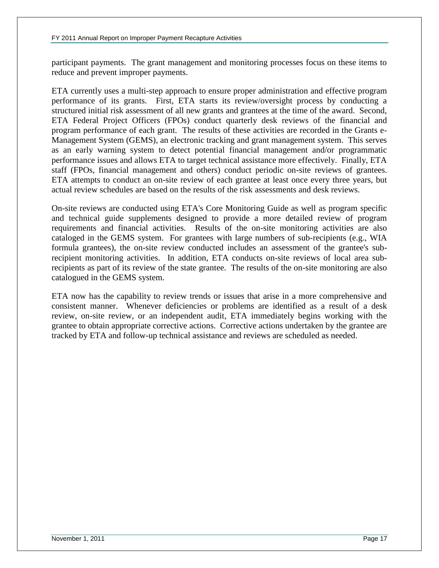participant payments. The grant management and monitoring processes focus on these items to reduce and prevent improper payments.

ETA currently uses a multi-step approach to ensure proper administration and effective program performance of its grants. First, ETA starts its review/oversight process by conducting a structured initial risk assessment of all new grants and grantees at the time of the award. Second, ETA Federal Project Officers (FPOs) conduct quarterly desk reviews of the financial and program performance of each grant. The results of these activities are recorded in the Grants e-Management System (GEMS), an electronic tracking and grant management system. This serves as an early warning system to detect potential financial management and/or programmatic performance issues and allows ETA to target technical assistance more effectively. Finally, ETA staff (FPOs, financial management and others) conduct periodic on-site reviews of grantees. ETA attempts to conduct an on-site review of each grantee at least once every three years, but actual review schedules are based on the results of the risk assessments and desk reviews.

On-site reviews are conducted using ETA's Core Monitoring Guide as well as program specific and technical guide supplements designed to provide a more detailed review of program requirements and financial activities. Results of the on-site monitoring activities are also cataloged in the GEMS system. For grantees with large numbers of sub-recipients (e.g., WIA formula grantees), the on-site review conducted includes an assessment of the grantee's subrecipient monitoring activities. In addition, ETA conducts on-site reviews of local area subrecipients as part of its review of the state grantee. The results of the on-site monitoring are also catalogued in the GEMS system.

ETA now has the capability to review trends or issues that arise in a more comprehensive and consistent manner. Whenever deficiencies or problems are identified as a result of a desk review, on-site review, or an independent audit, ETA immediately begins working with the grantee to obtain appropriate corrective actions. Corrective actions undertaken by the grantee are tracked by ETA and follow-up technical assistance and reviews are scheduled as needed.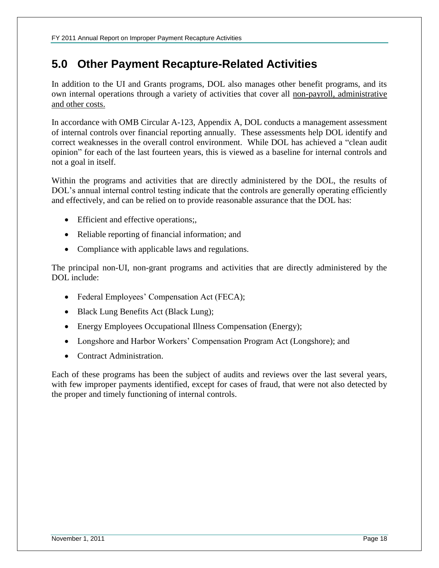## <span id="page-19-0"></span>**5.0 Other Payment Recapture-Related Activities**

In addition to the UI and Grants programs, DOL also manages other benefit programs, and its own internal operations through a variety of activities that cover all non-payroll, administrative and other costs.

In accordance with OMB Circular A-123, Appendix A, DOL conducts a management assessment of internal controls over financial reporting annually. These assessments help DOL identify and correct weaknesses in the overall control environment. While DOL has achieved a "clean audit opinion" for each of the last fourteen years, this is viewed as a baseline for internal controls and not a goal in itself.

Within the programs and activities that are directly administered by the DOL, the results of DOL's annual internal control testing indicate that the controls are generally operating efficiently and effectively, and can be relied on to provide reasonable assurance that the DOL has:

- Efficient and effective operations;,
- Reliable reporting of financial information; and
- Compliance with applicable laws and regulations.

The principal non-UI, non-grant programs and activities that are directly administered by the DOL include:

- Federal Employees' Compensation Act (FECA);
- Black Lung Benefits Act (Black Lung);
- Energy Employees Occupational Illness Compensation (Energy);
- Longshore and Harbor Workers' Compensation Program Act (Longshore); and
- Contract Administration.

Each of these programs has been the subject of audits and reviews over the last several years, with few improper payments identified, except for cases of fraud, that were not also detected by the proper and timely functioning of internal controls.